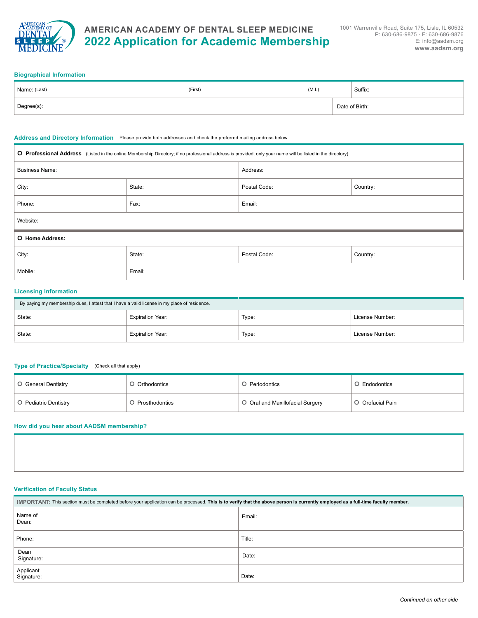

# **AMERICAN ACADEMY OF DENTAL SLEEP MEDICINE 2022 Application for Academic Membership**

#### **Biographical Information**

| Name: (Last) | (First) | (M.I.) |  | Suffix:        |  |
|--------------|---------|--------|--|----------------|--|
| Degree(s):   |         |        |  | Date of Birth: |  |

#### **Address and Directory Information** Please provide both addresses and check the preferred mailing address below.

| O Professional Address (Listed in the online Membership Directory; if no professional address is provided, only your name will be listed in the directory) |        |                          |          |  |
|------------------------------------------------------------------------------------------------------------------------------------------------------------|--------|--------------------------|----------|--|
| <b>Business Name:</b>                                                                                                                                      |        | Address:                 |          |  |
| City:                                                                                                                                                      | State: | Postal Code:<br>Country: |          |  |
| Phone:                                                                                                                                                     | Fax:   | Email:                   |          |  |
| Website:                                                                                                                                                   |        |                          |          |  |
| O Home Address:                                                                                                                                            |        |                          |          |  |
| City:                                                                                                                                                      | State: | Postal Code:             | Country: |  |
| Mobile:                                                                                                                                                    | Email: |                          |          |  |

# **Licensing Information**

| By paying my membership dues, I attest that I have a valid license in my place of residence. |                         |       |                 |
|----------------------------------------------------------------------------------------------|-------------------------|-------|-----------------|
| State:                                                                                       | <b>Expiration Year:</b> | Type: | License Number: |
| State:                                                                                       | <b>Expiration Year:</b> | Type: | License Number: |

#### **Type of Practice/Specialty** (Check all that apply)

| O General Dentistry   | O Orthodontics   | O Periodontics                   | O Endodontics    |
|-----------------------|------------------|----------------------------------|------------------|
| O Pediatric Dentistry | O Prosthodontics | O Oral and Maxillofacial Surgery | O Orofacial Pain |

## **How did you hear about AADSM membership?**

### **Verification of Faculty Status**

| IMPORTANT: This section must be completed before your application can be processed. This is to verify that the above person is currently employed as a full-time faculty member. |        |  |  |
|----------------------------------------------------------------------------------------------------------------------------------------------------------------------------------|--------|--|--|
| Name of<br>Dean:                                                                                                                                                                 | Email: |  |  |
| Phone:                                                                                                                                                                           | Title: |  |  |
| Dean<br>Signature:                                                                                                                                                               | Date:  |  |  |
| Applicant<br>Signature:                                                                                                                                                          | Date:  |  |  |